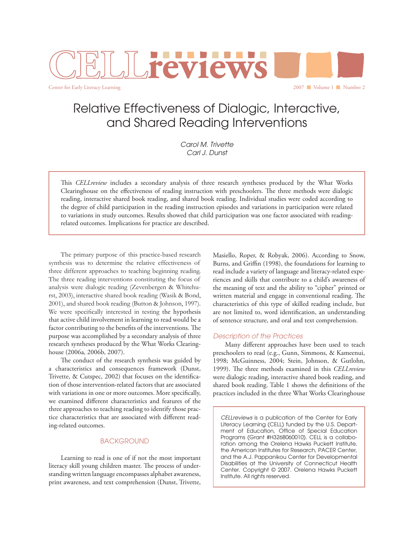

Relative Effectiveness of Dialogic, Interactive, and Shared Reading Interventions

> *Carol M. Trivette Carl J. Dunst*

This *CELLreview* includes a secondary analysis of three research syntheses produced by the What Works Clearinghouse on the effectiveness of reading instruction with preschoolers. The three methods were dialogic reading, interactive shared book reading, and shared book reading. Individual studies were coded according to the degree of child participation in the reading instruction episodes and variations in participation were related to variations in study outcomes. Results showed that child participation was one factor associated with readingrelated outcomes. Implications for practice are described.

 The primary purpose of this practice-based research synthesis was to determine the relative effectiveness of three different approaches to teaching beginning reading. The three reading interventions constituting the focus of analysis were dialogic reading (Zevenbergen & Whitehurst, 2003), interactive shared book reading (Wasik & Bond, 2001), and shared book reading (Button & Johnson, 1997). We were specifically interested in testing the hypothesis that active child involvement in learning to read would be a factor contributing to the benefits of the interventions. The purpose was accomplished by a secondary analysis of three research syntheses produced by the What Works Clearinghouse (2006a, 2006b, 2007).

The conduct of the research synthesis was guided by a characteristics and consequences framework (Dunst, Trivette, & Cutspec, 2002) that focuses on the identification of those intervention-related factors that are associated with variations in one or more outcomes. More specifically, we examined different characteristics and features of the three approaches to teaching reading to identify those practice characteristics that are associated with different reading-related outcomes.

### **BACKGROUND**

 Learning to read is one of if not the most important literacy skill young children master. The process of understanding written language encompasses alphabet awareness, print awareness, and text comprehension (Dunst, Trivette, Masiello, Roper, & Robyak, 2006). According to Snow, Burns, and Griffin (1998), the foundations for learning to read include a variety of language and literacy-related experiences and skills that contribute to a child's awareness of the meaning of text and the ability to "cipher" printed or written material and engage in conventional reading. The characteristics of this type of skilled reading include, but are not limited to, word identification, an understanding of sentence structure, and oral and text comprehension.

### *Description of the Practices*

Many different approaches have been used to teach preschoolers to read (e.g., Gunn, Simmons, & Kameenui, 1998; McGuinness, 2004; Stein, Johnson, & Gutlohn, 1999). The three methods examined in this *CELLreview* were dialogic reading, interactive shared book reading, and shared book reading. Table 1 shows the definitions of the practices included in the three What Works Clearinghouse

*CELLreviews* is a publication of the Center for Early Literacy Learning (CELL) funded by the U.S. Department of Education, Office of Special Education Programs (Grant #H326B060010). CELL is a collaboration among the Orelena Hawks Puckett Institute, the American Institutes for Research, PACER Center, and the A.J. Pappanikou Center for Developmental Disabilities at the University of Connecticut Health Center. Copyright © 2007. Orelena Hawks Puckett Institute. All rights reserved.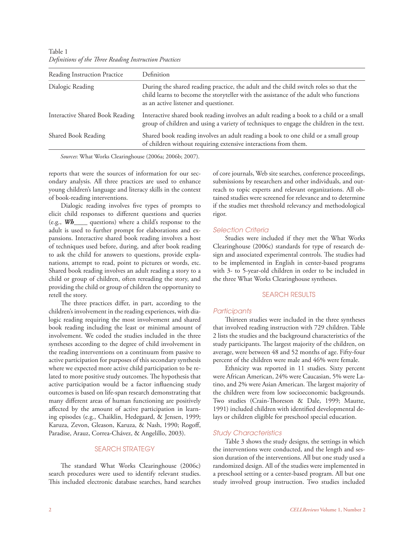| Reading Instruction Practice    | Definition                                                                                                                                                                                                             |
|---------------------------------|------------------------------------------------------------------------------------------------------------------------------------------------------------------------------------------------------------------------|
| Dialogic Reading                | During the shared reading practice, the adult and the child switch roles so that the<br>child learns to become the storyteller with the assistance of the adult who functions<br>as an active listener and questioner. |
| Interactive Shared Book Reading | Interactive shared book reading involves an adult reading a book to a child or a small<br>group of children and using a variety of techniques to engage the children in the text.                                      |
| Shared Book Reading             | Shared book reading involves an adult reading a book to one child or a small group<br>of children without requiring extensive interactions from them.                                                                  |

Table 1 *Defi nitions of the Th ree Reading Instruction Practices*

*Sources*: What Works Clearinghouse (2006a; 2006b; 2007).

reports that were the sources of information for our secondary analysis. All three practices are used to enhance young children's language and literacy skills in the context of book-reading interventions.

Dialogic reading involves five types of prompts to elicit child responses to different questions and queries (e.g., *Wh*\_\_\_\_ questions) where a child's response to the adult is used to further prompt for elaborations and expansions. Interactive shared book reading involves a host of techniques used before, during, and after book reading to ask the child for answers to questions, provide explanations, attempt to read, point to pictures or words, etc. Shared book reading involves an adult reading a story to a child or group of children, often rereading the story, and providing the child or group of children the opportunity to retell the story.

The three practices differ, in part, according to the children's involvement in the reading experiences, with dialogic reading requiring the most involvement and shared book reading including the least or minimal amount of involvement. We coded the studies included in the three syntheses according to the degree of child involvement in the reading interventions on a continuum from passive to active participation for purposes of this secondary synthesis where we expected more active child participation to be related to more positive study outcomes. The hypothesis that active participation would be a factor influencing study outcomes is based on life-span research demonstrating that many different areas of human functioning are positively affected by the amount of active participation in learning episodes (e.g., Chaiklin, Hedegaard, & Jensen, 1999; Karuza, Zevon, Gleason, Karuza, & Nash, 1990; Rogoff, Paradise, Arauz, Correa-Chávez, & Angelillo, 2003).

## SEARCH STRATEGY

The standard What Works Clearinghouse (2006c) search procedures were used to identify relevant studies. This included electronic database searches, hand searches of core journals, Web site searches, conference proceedings, submissions by researchers and other individuals, and outreach to topic experts and relevant organizations. All obtained studies were screened for relevance and to determine if the studies met threshold relevancy and methodological rigor.

#### *Selection Criteria*

 Studies were included if they met the What Works Clearinghouse (2006c) standards for type of research design and associated experimental controls. The studies had to be implemented in English in center-based programs with 3- to 5-year-old children in order to be included in the three What Works Clearinghouse syntheses.

#### SEARCH RESULTS

### *Participants*

Thirteen studies were included in the three syntheses that involved reading instruction with 729 children. Table 2 lists the studies and the background characteristics of the study participants. The largest majority of the children, on average, were between 48 and 52 months of age. Fifty-four percent of the children were male and 46% were female.

 Ethnicity was reported in 11 studies. Sixty percent were African American, 24% were Caucasian, 5% were Latino, and 2% were Asian American. The largest majority of the children were from low socioeconomic backgrounds. Two studies (Crain-Thoreson & Dale, 1999; Mautte, 1991) included children with identified developmental delays or children eligible for preschool special education.

### *Study Characteristics*

 Table 3 shows the study designs, the settings in which the interventions were conducted, and the length and session duration of the interventions. All but one study used a randomized design. All of the studies were implemented in a preschool setting or a center-based program. All but one study involved group instruction. Two studies included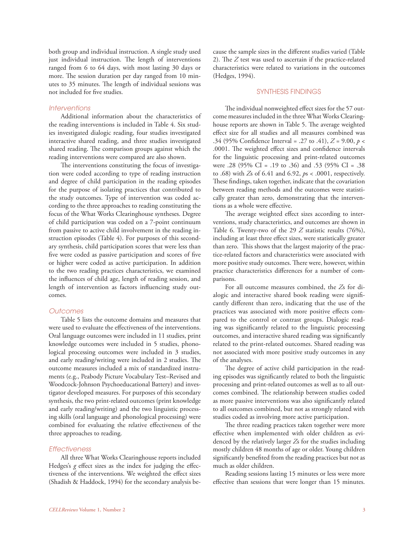both group and individual instruction. A single study used just individual instruction. The length of interventions ranged from 6 to 64 days, with most lasting 30 days or more. The session duration per day ranged from 10 minutes to 35 minutes. The length of individual sessions was not included for five studies.

## *Interventions*

 Additional information about the characteristics of the reading interventions is included in Table 4. Six studies investigated dialogic reading, four studies investigated interactive shared reading, and three studies investigated shared reading. The comparison groups against which the reading interventions were compared are also shown.

The interventions constituting the focus of investigation were coded according to type of reading instruction and degree of child participation in the reading episodes for the purpose of isolating practices that contributed to the study outcomes. Type of intervention was coded according to the three approaches to reading constituting the focus of the What Works Clearinghouse syntheses. Degree of child participation was coded on a 7-point continuum from passive to active child involvement in the reading instruction episodes (Table 4). For purposes of this secondary synthesis, child participation scores that were less than five were coded as passive participation and scores of five or higher were coded as active participation. In addition to the two reading practices characteristics, we examined the influences of child age, length of reading session, and length of intervention as factors influencing study outcomes.

### *Outcomes*

 Table 5 lists the outcome domains and measures that were used to evaluate the effectiveness of the interventions. Oral language outcomes were included in 11 studies, print knowledge outcomes were included in 5 studies, phonological processing outcomes were included in 3 studies, and early reading/writing were included in 2 studies. The outcome measures included a mix of standardized instruments (e.g., Peabody Picture Vocabulary Test–Revised and Woodcock-Johnson Psychoeducational Battery) and investigator developed measures. For purposes of this secondary synthesis, the two print-related outcomes (print knowledge and early reading/writing) and the two linguistic processing skills (oral language and phonological processing) were combined for evaluating the relative effectiveness of the three approaches to reading.

#### *Effectiveness*

 All three What Works Clearinghouse reports included Hedges's *g* effect sizes as the index for judging the effectiveness of the interventions. We weighted the effect sizes (Shadish & Haddock, 1994) for the secondary analysis because the sample sizes in the different studies varied (Table 2). The  $Z$  test was used to ascertain if the practice-related characteristics were related to variations in the outcomes (Hedges, 1994).

#### SYNTHESIS FINDINGS

The individual nonweighted effect sizes for the 57 outcome measures included in the three What Works Clearinghouse reports are shown in Table 5. The average weighted effect size for all studies and all measures combined was .34 (95% Confidence Interval = .27 to .41),  $Z = 9.00$ ,  $p <$ .0001. The weighted effect sizes and confidence intervals for the linguistic processing and print-related outcomes were .28 (95% CI = .19 to .36) and .53 (95% CI = .38 to .68) with *Z*s of 6.41 and 6.92, *p*s < .0001, respectively. These findings, taken together, indicate that the covariation between reading methods and the outcomes were statistically greater than zero, demonstrating that the interventions as a whole were effective.

The average weighted effect sizes according to interventions, study characteristics, and outcomes are shown in Table 6. Twenty-two of the 29 *Z* statistic results (76%), including at least three effect sizes, were statistically greater than zero. This shows that the largest majority of the practice-related factors and characteristics were associated with more positive study outcomes. There were, however, within practice characteristics differences for a number of comparisons.

 For all outcome measures combined, the *Z*s for dialogic and interactive shared book reading were significantly different than zero, indicating that the use of the practices was associated with more positive effects compared to the control or contrast groups. Dialogic reading was significantly related to the linguistic processing outcomes, and interactive shared reading was significantly related to the print-related outcomes. Shared reading was not associated with more positive study outcomes in any of the analyses.

The degree of active child participation in the reading episodes was significantly related to both the linguistic processing and print-related outcomes as well as to all outcomes combined. The relationship between studies coded as more passive interventions was also significantly related to all outcomes combined, but not as strongly related with studies coded as involving more active participation.

The three reading practices taken together were more effective when implemented with older children as evidenced by the relatively larger *Z*s for the studies including mostly children 48 months of age or older. Young children significantly benefited from the reading practices but not as much as older children.

 Reading sessions lasting 15 minutes or less were more effective than sessions that were longer than 15 minutes.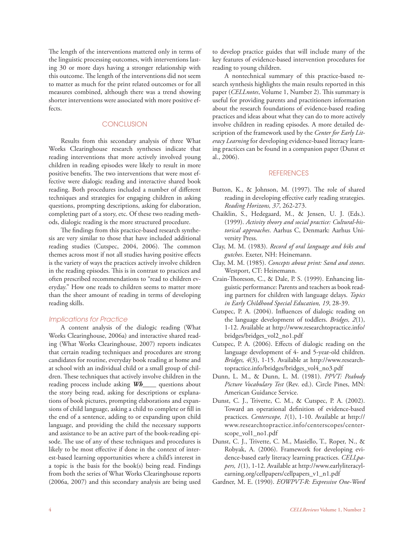The length of the interventions mattered only in terms of the linguistic processing outcomes, with interventions lasting 30 or more days having a stronger relationship with this outcome. The length of the interventions did not seem to matter as much for the print related outcomes or for all measures combined, although there was a trend showing shorter interventions were associated with more positive effects.

# **CONCLUSION**

 Results from this secondary analysis of three What Works Clearinghouse research syntheses indicate that reading interventions that more actively involved young children in reading episodes were likely to result in more positive benefits. The two interventions that were most effective were dialogic reading and interactive shared book reading. Both procedures included a number of different techniques and strategies for engaging children in asking questions, prompting descriptions, asking for elaboration, completing part of a story, etc. Of these two reading methods, dialogic reading is the more structured procedure.

The findings from this practice-based research synthesis are very similar to those that have included additional reading studies (Cutspec, 2004, 2006). The common themes across most if not all studies having positive effects is the variety of ways the practices actively involve children in the reading episodes. This is in contrast to practices and often prescribed recommendations to "read to children everyday." How one reads to children seems to matter more than the sheer amount of reading in terms of developing reading skills.

#### *Implications for Practice*

 A content analysis of the dialogic reading (What Works Clearinghouse, 2006a) and interactive shared reading (What Works Clearinghouse, 2007) reports indicates that certain reading techniques and procedures are strong candidates for routine, everyday book reading at home and at school with an individual child or a small group of children. These techniques that actively involve children in the reading process include asking *Wh*\_\_\_\_ questions about the story being read, asking for descriptions or explanations of book pictures, prompting elaborations and expansions of child language, asking a child to complete or fill in the end of a sentence, adding to or expanding upon child language, and providing the child the necessary supports and assistance to be an active part of the book-reading episode. The use of any of these techniques and procedures is likely to be most effective if done in the context of interest-based learning opportunities where a child's interest in a topic is the basis for the book(s) being read. Findings from both the series of What Works Clearinghouse reports (2006a, 2007) and this secondary analysis are being used

to develop practice guides that will include many of the key features of evidence-based intervention procedures for reading to young children.

 A nontechnical summary of this practice-based research synthesis highlights the main results reported in this paper (*CELLnotes*, Volume 1, Number 2). This summary is useful for providing parents and practitioners information about the research foundations of evidence-based reading practices and ideas about what they can do to more actively involve children in reading episodes. A more detailed description of the framework used by the *Center for Early Literacy Learning* for developing evidence-based literacy learning practices can be found in a companion paper (Dunst et al., 2006).

#### **REFERENCES**

- Button, K., & Johnson, M. (1997). The role of shared reading in developing effective early reading strategies. *Reading Horizons, 37*, 262-273.
- Chaiklin, S., Hedegaard, M., & Jensen, U. J. (Eds.). (1999). *Activity theory and social practice: Cultural-historical approaches*. Aarhus C, Denmark: Aarhus University Press.
- Clay, M. M. (1983). *Record of oral language and biks and gutches*. Exeter, NH: Heinemann.
- Clay, M. M. (1985). *Concepts about print: Sand and stones*. Westport, CT: Heinemann.
- Crain-Thoreson, C., & Dale, P. S. (1999). Enhancing linguistic performance: Parents and teachers as book reading partners for children with language delays. *Topics in Early Childhood Special Education, 19*, 28-39.
- Cutspec, P. A. (2004). Influences of dialogic reading on the language development of toddlers. *Bridges, 2*(1), 1-12. Available at http://www.researchtopractice.info/ bridges/bridges\_vol2\_no1.pdf
- Cutspec, P. A. (2006). Effects of dialogic reading on the language development of 4- and 5-year-old children. *Bridges, 4*(3), 1-15. Available at http://www.researchtopractice.info/bridges/bridges\_vol4\_no3.pdf
- Dunn, L. M., & Dunn, L. M. (1981). *PPVT: Peabody Picture Vocabulary Test* (Rev. ed.). Circle Pines, MN: American Guidance Service.
- Dunst, C. J., Trivette, C. M., & Cutspec, P. A. (2002). Toward an operational definition of evidence-based practices. *Centerscope, 1*(1), 1-10. Available at http:// www.researchtopractice.info/centerscopes/centerscope\_vol1\_no1.pdf
- Dunst, C. J., Trivette, C. M., Masiello, T., Roper, N., & Robyak, A. (2006). Framework for developing evidence-based early literacy learning practices. *CELLpapers, 1*(1), 1-12. Available at http://www.earlyliteracylearning.org/cellpapers/cellpapers\_v1\_n1.pdf
- Gardner, M. E. (1990). *EOWPVT-R: Expressive One-Word*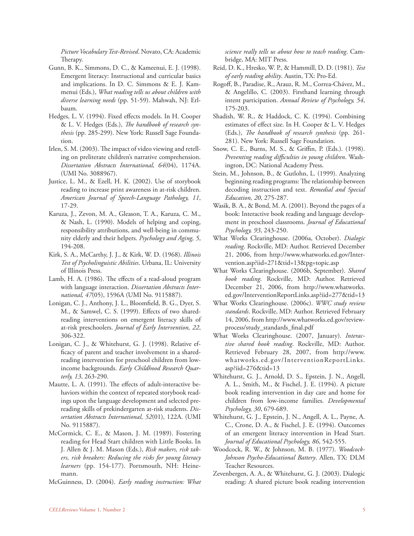*Picture Vocabulary Test-Revised*. Novato, CA: Academic Therapy.

- Gunn, B. K., Simmons, D. C., & Kameenui, E. J. (1998). Emergent literacy: Instructional and curricular basics and implications. In D. C. Simmons & E. J. Kammenui (Eds.), *What reading tells us about children with diverse learning needs* (pp. 51-59). Mahwah, NJ: Erlbaum.
- Hedges, L. V. (1994). Fixed effects models. In H. Cooper & L. V. Hedges (Eds.), *The handbook of research synthesis* (pp. 285-299). New York: Russell Sage Foundation.
- Irlen, S. M. (2003). The impact of video viewing and retelling on preliterate children's narrative comprehension. *Dissertation Abstracts International, 64*(04), 1174A. (UMI No. 3088967).
- Justice, L. M., & Ezell, H. K. (2002). Use of storybook reading to increase print awareness in at-risk children. *American Journal of Speech-Language Pathology, 11*, 17-29.
- Karuza, J., Zevon, M. A., Gleason, T. A., Karuza, C. M., & Nash, L. (1990). Models of helping and coping, responsibility attributions, and well-being in community elderly and their helpers. *Psychology and Aging, 5*, 194-208.
- Kirk, S. A., McCarthy, J. J., & Kirk, W. D. (1968). *Illinois Test of Psycholinguistic Abilities*. Urbana, IL: University of Illinois Press.
- Lamb, H. A. (1986). The effects of a read-aloud program with language interaction. *Dissertation Abstracts International, 47*(05), 1596A (UMI No. 9115887).
- Lonigan, C. J., Anthony, J. L., Bloomfield, B. G., Dyer, S. M., & Samwel, C. S. (1999). Effects of two sharedreading interventions on emergent literacy skills of at-risk preschoolers. *Journal of Early Intervention, 22*, 306-322.
- Lonigan, C. J., & Whitehurst, G. J. (1998). Relative efficacy of parent and teacher involvement in a sharedreading intervention for preschool children from lowincome backgrounds. *Early Childhood Research Quarterly, 13*, 263-290.
- Mautte, L. A. (1991). The effects of adult-interactive behaviors within the context of repeated storybook readings upon the language development and selected prereading skills of prekindergarten at-risk students. *Dissertation Abstracts International, 52*(01), 122A. (UMI No. 9115887).
- McCormick, C. E., & Mason, J. M. (1989). Fostering reading for Head Start children with Little Books. In J. Allen & J. M. Mason (Eds.), *Risk makers, risk takers, risk breakers: Reducing the risks for young literacy learners* (pp. 154-177). Portsmouth, NH: Heinemann.
- McGuinness, D. (2004). *Early reading instruction: What*

*science really tells us about how to teach reading*. Cambridge, MA: MIT Press.

- Reid, D. K., Hresko, W. P., & Hammill, D. D. (1981). *Test of early reading ability*. Austin, TX: Pro-Ed.
- Rogoff, B., Paradise, R., Arauz, R. M., Correa-Chávez, M., & Angelillo, C. (2003). Firsthand learning through intent participation. *Annual Review of Psychology, 54*, 175-203.
- Shadish, W. R., & Haddock, C. K. (1994). Combining estimates of effect size. In H. Cooper & L. V. Hedges (Eds.), *The handbook of research synthesis* (pp. 261-281). New York: Russell Sage Foundation.
- Snow, C. E., Burns, M. S., & Griffin, P. (Eds.). (1998). *Preventing reading diffi culties in young children*. Washington, DC: National Academy Press.
- Stein, M., Johnson, B., & Gutlohn, L. (1999). Analyzing beginning reading programs: The relationship between decoding instruction and text. *Remedial and Special Education, 20*, 275-287.
- Wasik, B. A., & Bond, M. A. (2001). Beyond the pages of a book: Interactive book reading and language development in preschool classrooms. *Journal of Educational Psychology, 93*, 243-250.
- What Works Clearinghouse. (2006a, October). *Dialogic reading*. Rockville, MD: Author. Retrieved December 21, 2006, from http://www.whatworks.ed.gov/Intervention.asp?iid=271&tid=13&pg=topic.asp
- What Works Clearinghouse. (2006b, September). *Shared book reading*. Rockville, MD: Author. Retrieved December 21, 2006, from http://www.whatworks. ed.gov/InterventionReportLinks.asp?iid=277&tid=13
- What Works Clearinghouse. (2006c). *WWC study review standards*. Rockville, MD: Author. Retrieved February 14, 2006, from http://www.whatworks.ed.gov/reviewprocess/study\_standards\_final.pdf
- What Works Clearinghouse. (2007, January). *Interactive shared book reading*. Rockville, MD: Author. Retrieved February 28, 2007, from http://www. whatworks.ed.gov/InterventionReportLinks. asp?iid=276&tid=13
- Whitehurst, G. J., Arnold, D. S., Epstein, J. N., Angell, A. L., Smith, M., & Fischel, J. E. (1994). A picture book reading intervention in day care and home for children from low-income families. *Developmental Psychology, 30*, 679-689.
- Whitehurst, G. J., Epstein, J. N., Angell, A. L., Payne, A. C., Crone, D. A., & Fischel, J. E. (1994). Outcomes of an emergent literacy intervention in Head Start. *Journal of Educational Psychology, 86*, 542-555.
- Woodcock, R. W., & Johnson, M. B. (1977). *Woodcock-Johnson Psycho-Educational Battery*. Allen, TX: DLM Teacher Resources.
- Zevenbergen, A. A., & Whitehurst, G. J. (2003). Dialogic reading: A shared picture book reading intervention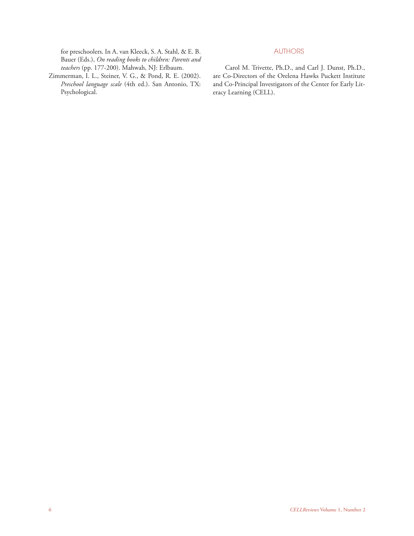for preschoolers. In A. van Kleeck, S. A. Stahl, & E. B. Bauer (Eds.), *On reading books to children: Parents and teachers* (pp. 177-200). Mahwah, NJ: Erlbaum.

Zimmerman, I. L., Steiner, V. G., & Pond, R. E. (2002). *Preschool language scale* (4th ed.). San Antonio, TX: Psychological.

# AUTHORS

 Carol M. Trivette, Ph.D., and Carl J. Dunst, Ph.D., are Co-Directors of the Orelena Hawks Puckett Institute and Co-Principal Investigators of the Center for Early Literacy Learning (CELL).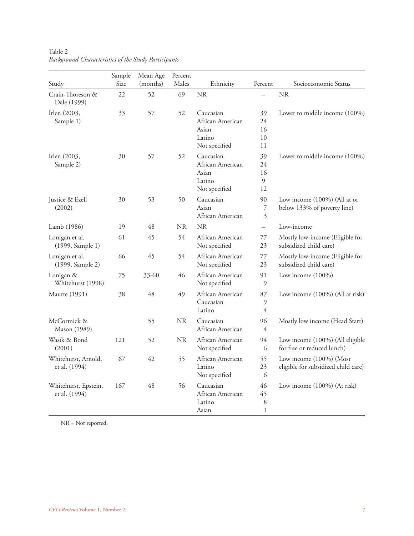| Study                                 | Sample<br>Size | Mean Age<br>(months) | Percent<br>Males | Ethnicity                                                         | Percent                       | Socioeconomic Status                                           |
|---------------------------------------|----------------|----------------------|------------------|-------------------------------------------------------------------|-------------------------------|----------------------------------------------------------------|
| Crain-Thoreson &<br>Dale (1999)       | 22             | 52                   | 69               | <b>NR</b>                                                         |                               | <b>NR</b>                                                      |
| Irlen (2003,<br>Sample 1)             | 33             | 57                   | 52               | Caucasian<br>African American<br>Asian<br>Latino<br>Not specified | 39<br>24<br>16<br>10<br>11    | Lower to middle income (100%)                                  |
| Irlen (2003,<br>Sample 2)             | 30             | 57                   | 52               | Caucasian<br>African American<br>Asian<br>Latino<br>Not specified | 39<br>$24\,$<br>16<br>9<br>12 | Lower to middle income (100%)                                  |
| Justice & Ezell<br>(2002)             | 30             | 53                   | 50               | Caucasian<br>Asian<br>African American                            | 90<br>7<br>3                  | Low income (100%) (All at or<br>below 133% of poverty line)    |
| Lamb (1986)                           | 19             | 48                   | <b>NR</b>        | NR                                                                | $\overline{\phantom{0}}$      | Low-income                                                     |
| Lonigan et al.<br>(1999, Sample 1)    | 61             | 45                   | 54               | African American<br>Not specified                                 | 77<br>23                      | Mostly low-income (Eligible for<br>subsidized child care)      |
| Lonigan et al.<br>(1999, Sample 2)    | 66             | 45                   | 54               | African American<br>Not specified                                 | 77<br>23                      | Mostly low-income (Eligible for<br>subsidized child care)      |
| Lonigan &<br>Whitehurst (1998)        | 75             | $33 - 60$            | 46               | African American<br>Not specified                                 | 91<br>9                       | Low income (100%)                                              |
| <b>Mautte (1991)</b>                  | 38             | 48                   | 49               | African American<br>Caucasian<br>Latino                           | 87<br>9<br>$\overline{4}$     | Low income (100%) (All at risk)                                |
| McCormick &<br>Mason (1989)           |                | 55                   | NR               | Caucasian<br>African American                                     | 96<br>$\overline{4}$          | Mostly low income (Head Start)                                 |
| Wasik & Bond<br>(2001)                | 121            | 52                   | <b>NR</b>        | African American<br>Not specified                                 | 94<br>6                       | Low income (100%) (All eligible<br>for free or reduced lunch)  |
| Whitehurst, Arnold,<br>et al. (1994)  | 67             | 42                   | 55               | African American<br>Latino<br>Not specified                       | 55<br>23<br>6                 | Low income (100%) (Most<br>eligible for subsidized child care) |
| Whitehurst, Epstein,<br>et al. (1994) | 167            | 48                   | 56               | Caucasian<br>African American<br>Latino<br>Asian                  | 46<br>45<br>$\,8\,$<br>1      | Low income (100%) (At risk)                                    |

Table 2 *Background Characteristics of the Study Participants*

NR = Not reported.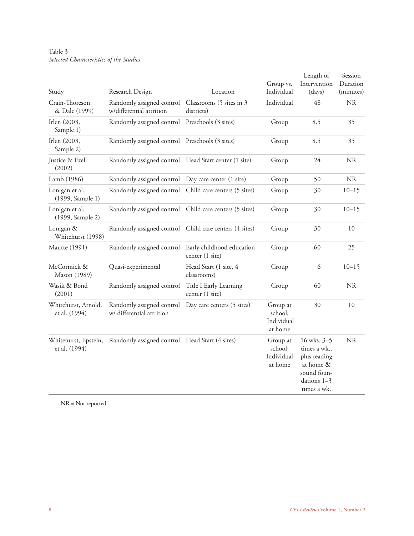# Table 3 *Selected Characteristics of the Studies*

| Study                                 | Research Design                                                                | Location                                     | Group vs.<br>Individual                      | Length of<br>Intervention<br>(days)                                                                   | Session<br>Duration<br>(minutes) |
|---------------------------------------|--------------------------------------------------------------------------------|----------------------------------------------|----------------------------------------------|-------------------------------------------------------------------------------------------------------|----------------------------------|
| Crain-Thoreson<br>& Dale (1999)       | Randomly assigned control Classrooms (5 sites in 3<br>w/differential attrition | districts)                                   | Individual                                   | 48                                                                                                    | <b>NR</b>                        |
| Irlen (2003,<br>Sample 1)             | Randomly assigned control Preschools (3 sites)                                 |                                              | Group                                        | 8.5                                                                                                   | 35                               |
| Irlen (2003,<br>Sample 2)             | Randomly assigned control Preschools (3 sites)                                 |                                              | Group                                        | 8.5                                                                                                   | 35                               |
| Justice & Ezell<br>(2002)             | Randomly assigned control Head Start center (1 site)                           |                                              | Group                                        | 24                                                                                                    | <b>NR</b>                        |
| Lamb (1986)                           | Randomly assigned control Day care center (1 site)                             |                                              | Group                                        | 50                                                                                                    | <b>NR</b>                        |
| Lonigan et al.<br>(1999, Sample 1)    | Randomly assigned control Child care centers (5 sites)                         |                                              | Group                                        | 30                                                                                                    | $10 - 15$                        |
| Lonigan et al.<br>(1999, Sample 2)    | Randomly assigned control Child care centers (5 sites)                         |                                              | Group                                        | 30                                                                                                    | $10 - 15$                        |
| Lonigan &<br>Whitehurst (1998)        | Randomly assigned control Child care centers (4 sites)                         |                                              | Group                                        | 30                                                                                                    | 10                               |
| Mautte (1991)                         | Randomly assigned control                                                      | Early childhood education<br>center (1 site) | Group                                        | 60                                                                                                    | 25                               |
| McCormick &<br>Mason (1989)           | Quasi-experimental                                                             | Head Start (1 site, 4<br>classrooms)         | Group                                        | 6                                                                                                     | $10 - 15$                        |
| Wasik & Bond<br>(2001)                | Randomly assigned control                                                      | Title I Early Learning<br>center (1 site)    | Group                                        | 60                                                                                                    | <b>NR</b>                        |
| Whitehurst, Arnold,<br>et al. (1994)  | Randomly assigned control<br>w/ differential attrition                         | Day care centers (5 sites)                   | Group at<br>school;<br>Individual<br>at home | 30                                                                                                    | 10                               |
| Whitehurst, Epstein,<br>et al. (1994) | Randomly assigned control Head Start (4 sites)                                 |                                              | Group at<br>school;<br>Individual<br>at home | 16 wks. 3–5<br>times a wk.,<br>plus reading<br>at home &<br>sound foun-<br>dations 1–3<br>times a wk. | <b>NR</b>                        |

NR = Not reported.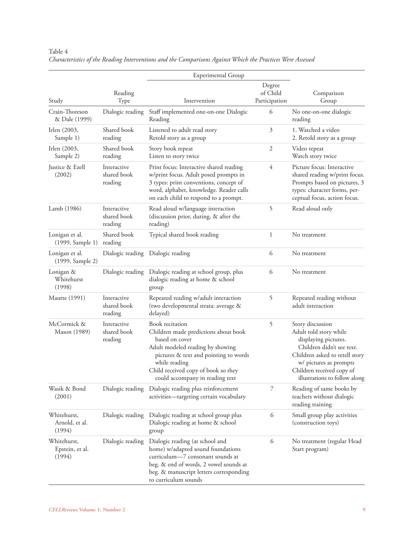|                                          |                                       | <b>Experimental Group</b>                                                                                                                                                                                                                         |                                      |                                                                                                                                                                                                                           |  |
|------------------------------------------|---------------------------------------|---------------------------------------------------------------------------------------------------------------------------------------------------------------------------------------------------------------------------------------------------|--------------------------------------|---------------------------------------------------------------------------------------------------------------------------------------------------------------------------------------------------------------------------|--|
| Reading<br>Study<br>Type                 |                                       | Intervention                                                                                                                                                                                                                                      | Comparison<br>Participation<br>Group |                                                                                                                                                                                                                           |  |
| Crain-Thoreson<br>& Dale (1999)          | Dialogic reading                      | Staff implemented one-on-one Dialogic<br>6<br>Reading                                                                                                                                                                                             |                                      | No one-on-one dialogic<br>reading                                                                                                                                                                                         |  |
| Irlen (2003,<br>Sample 1)                | Shared book<br>reading                | Listened to adult read story<br>Retold story as a group                                                                                                                                                                                           | 3                                    | 1. Watched a video<br>2. Retold story as a group                                                                                                                                                                          |  |
| Irlen (2003,<br>Sample 2)                | Shared book<br>reading                | $\mathfrak{2}$<br>Story book repeat<br>Listen to story twice                                                                                                                                                                                      |                                      | Video repeat<br>Watch story twice                                                                                                                                                                                         |  |
| Justice & Ezell<br>(2002)                | Interactive<br>shared book<br>reading | $\overline{4}$<br>Print focus: Interactive shared reading<br>w/print focus. Adult posed prompts in<br>3 types: print conventions, concept of<br>word, alphabet, knowledge. Reader calls<br>on each child to respond to a prompt.                  |                                      | Picture focus: Interactive<br>shared reading w/print focus.<br>Prompts based on pictures, 3<br>types: character forms, per-<br>ceptual focus, action focus.                                                               |  |
| Lamb (1986)                              | Interactive<br>shared book<br>reading | 5<br>Read aloud w/language interaction<br>(discussion prior, during, & after the<br>reading)                                                                                                                                                      |                                      | Read aloud only                                                                                                                                                                                                           |  |
| Lonigan et al.<br>(1999, Sample 1)       | Shared book<br>reading                | Typical shared book reading<br>1                                                                                                                                                                                                                  |                                      | No treatment                                                                                                                                                                                                              |  |
| Lonigan et al.<br>(1999, Sample 2)       | Dialogic reading                      | 6<br>Dialogic reading                                                                                                                                                                                                                             |                                      | No treatment                                                                                                                                                                                                              |  |
| Lonigan &<br>Whitehurst<br>(1998)        | Dialogic reading                      | 6<br>Dialogic reading at school group, plus<br>dialogic reading at home & school<br>group                                                                                                                                                         |                                      | No treatment                                                                                                                                                                                                              |  |
| Mautte (1991)                            | Interactive<br>shared book<br>reading | 5<br>Repeated reading w/adult interaction<br>(two developmental strata: average &<br>delayed)                                                                                                                                                     |                                      | Repeated reading without<br>adult interaction                                                                                                                                                                             |  |
| McCormick &<br>Mason (1989)              | Interactive<br>shared book<br>reading | Book recitation<br>Children made predictions about book<br>based on cover<br>Adult modeled reading by showing<br>pictures & text and pointing to words<br>while reading<br>Child received copy of book so they<br>could accompany in reading text | 5                                    | Story discussion<br>Adult told story while<br>displaying pictures.<br>Children didn't see text.<br>Children asked to retell story<br>w/ pictures as prompts<br>Children received copy of<br>illustrations to follow along |  |
| Wasik & Bond<br>(2001)                   | Dialogic reading                      | 7<br>Dialogic reading plus reinforcement<br>activities-targeting certain vocabulary                                                                                                                                                               |                                      | Reading of same books by<br>teachers without dialogic<br>reading training                                                                                                                                                 |  |
| Whitehurst,<br>Arnold, et al.<br>(1994)  | Dialogic reading                      | Dialogic reading at school group plus<br>Dialogic reading at home & school<br>group                                                                                                                                                               | 6                                    | Small group play activities<br>(construction toys)                                                                                                                                                                        |  |
| Whitehurst,<br>Epstein, et al.<br>(1994) | Dialogic reading                      | Dialogic reading (at school and<br>home) w/adapted sound foundations<br>curriculum-7 consonant sounds at<br>beg. & end of words, 2 vowel sounds at<br>beg. & manuscript letters corresponding<br>to curriculum sounds                             | 6                                    | No treatment (regular Head<br>Start program)                                                                                                                                                                              |  |

Table 4 *Characteristics of the Reading Interventions and the Comparisons Against Which the Practices Were Assessed*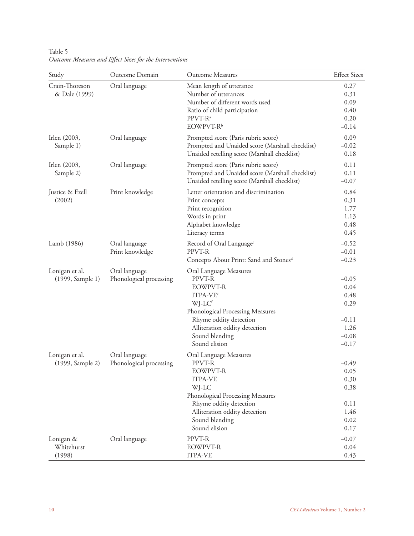| Study                              | Outcome Domain                           | Outcome Measures                                                                                                                                                                                                        | <b>Effect Sizes</b>                                                      |
|------------------------------------|------------------------------------------|-------------------------------------------------------------------------------------------------------------------------------------------------------------------------------------------------------------------------|--------------------------------------------------------------------------|
| Crain-Thoreson<br>& Dale (1999)    | Oral language                            | Mean length of utterance<br>Number of utterances<br>Number of different words used<br>Ratio of child participation<br>PPVT-R <sup>a</sup><br>EOWPVT-R <sup>b</sup>                                                      | 0.27<br>0.31<br>0.09<br>0.40<br>0.20<br>$-0.14$                          |
| Irlen (2003,<br>Sample 1)          | Oral language                            | Prompted score (Paris rubric score)<br>Prompted and Unaided score (Marshall checklist)<br>Unaided retelling score (Marshall checklist)                                                                                  | 0.09<br>$-0.02$<br>0.18                                                  |
| Irlen (2003,<br>Sample 2)          | Oral language                            | Prompted score (Paris rubric score)<br>Prompted and Unaided score (Marshall checklist)<br>Unaided retelling score (Marshall checklist)                                                                                  | 0.11<br>0.11<br>$-0.07$                                                  |
| Justice & Ezell<br>(2002)          | Print knowledge                          | Letter orientation and discrimination<br>Print concepts<br>Print recognition<br>Words in print<br>Alphabet knowledge<br>Literacy terms                                                                                  | 0.84<br>0.31<br>1.77<br>1.13<br>0.48<br>0.45                             |
| Lamb (1986)                        | Oral language<br>Print knowledge         | Record of Oral Language <sup>c</sup><br>PPVT-R<br>Concepts About Print: Sand and Stones <sup>d</sup>                                                                                                                    | $-0.52$<br>$-0.01$<br>$-0.23$                                            |
| Lonigan et al.<br>(1999, Sample 1) | Oral language<br>Phonological processing | Oral Language Measures<br>PPVT-R<br><b>EOWPVT-R</b><br>ITPA-VE <sup>e</sup><br>WJ-LCf<br>Phonological Processing Measures<br>Rhyme oddity detection<br>Alliteration oddity detection<br>Sound blending<br>Sound elision | $-0.05$<br>0.04<br>0.48<br>0.29<br>$-0.11$<br>1.26<br>$-0.08$<br>$-0.17$ |
| Lonigan et al.<br>(1999, Sample 2) | Oral language<br>Phonological processing | Oral Language Measures<br>PPVT-R<br>EOWPVT-R<br><b>ITPA-VE</b><br>WJ-LC<br>Phonological Processing Measures<br>Rhyme oddity detection<br>Alliteration oddity detection<br>Sound blending<br>Sound elision               | $-0.49$<br>0.05<br>0.30<br>0.38<br>0.11<br>1.46<br>0.02<br>0.17          |
| Lonigan &<br>Whitehurst<br>(1998)  | Oral language                            | PPVT-R<br><b>EOWPVT-R</b><br><b>ITPA-VE</b>                                                                                                                                                                             | $-0.07$<br>0.04<br>0.43                                                  |

Table 5 *Outcome Measures and Eff ect Sizes for the Interventions*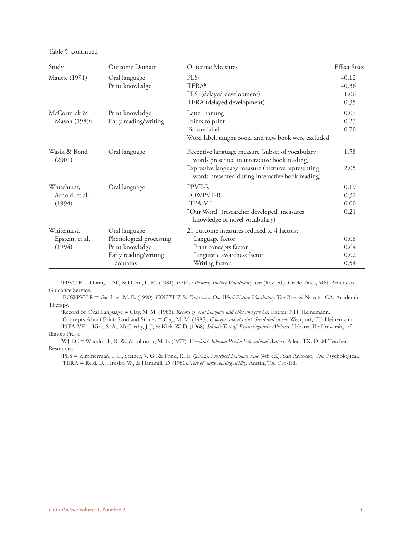Table 5, continued

| Study                  | Outcome Domain                   | <b>Outcome Measures</b>                                                                                | <b>Effect Sizes</b>        |
|------------------------|----------------------------------|--------------------------------------------------------------------------------------------------------|----------------------------|
| Mautte (1991)          | Oral language<br>Print knowledge | PLS <sup>g</sup><br><b>TERA</b> <sup>h</sup>                                                           | $-0.12$<br>$-0.36$<br>1.06 |
|                        |                                  | PLS (delayed development)<br>TERA (delayed development)                                                | 0.35                       |
| McCormick &            | Print knowledge                  | Letter naming                                                                                          | 0.07                       |
| Mason (1989)           | Early reading/writing            | Points to print                                                                                        | 0.27                       |
|                        |                                  | Picture label                                                                                          | 0.70                       |
|                        |                                  | Word label, taught book, and new book were excluded                                                    |                            |
| Wasik & Bond<br>(2001) | Oral language                    | Receptive language measure (subset of vocabulary<br>words presented in interactive book reading)       | 1.58                       |
|                        |                                  | Expressive language measure (pictures representing<br>words presented during interactive book reading) | 2.05                       |
| Whitehurst,            | Oral language                    | PPVT-R                                                                                                 | 0.19                       |
| Arnold, et al.         |                                  | <b>EOWPVT-R</b>                                                                                        | 0.32                       |
| (1994)                 |                                  | <b>ITPA-VE</b>                                                                                         | 0.00                       |
|                        |                                  | "Our Word" (researcher developed, measures<br>knowledge of novel vocabulary)                           | 0.21                       |
| Whitehurst,            | Oral language                    | 21 outcome measures reduced to 4 factors:                                                              |                            |
| Epstein, et al.        | Phonological processing          | Language factor                                                                                        | 0.08                       |
| (1994)                 | Print knowledge                  | Print concepts factor                                                                                  | 0.64                       |
|                        | Early reading/writing            | Linguistic awareness factor                                                                            | 0.02                       |
|                        | domains                          | Writing factor                                                                                         | 0.54                       |

a PPVT-R = Dunn, L. M., & Dunn, L. M. (1981). *PPVT: Peabody Picture Vocabulary Test* (Rev. ed.). Circle Pines, MN: American Guidance Service.

b EOWPVT-R = Gardner, M. E. (1990). *EOWPVT-R: Expressive One-Word Picture Vocabulary Test-Revised*. Novato, CA: Academic Therapy.

c Record of Oral Language = Clay, M. M. (1983). *Record of oral language and biks and gutches*. Exeter, NH: Heinemann.

d Concepts About Print: Sand and Stones = Clay, M. M. (1985). *Concepts about print: Sand and stones*. Westport, CT: Heinemann. e ITPA-VE = Kirk, S. A., McCarthy, J. J., & Kirk, W. D. (1968). *Illinois Test of Psycholinguistic Abilities*. Urbana, IL: University of Illinois Press.

f WJ-LC = Woodcock, R. W., & Johnson, M. B. (1977). *Woodcock-Johnson Psycho-Educational Battery*. Allen, TX: DLM Teacher Resources.

g PLS = Zimmerman, I. L., Steiner, V. G., & Pond, R. E. (2002). *Preschool language scale* (4th ed.). San Antonio, TX: Psychological. h TERA = Reid, D., Hresko, W., & Hammill, D. (1981). *Test of early reading ability*. Austin, TX: Pro-Ed.